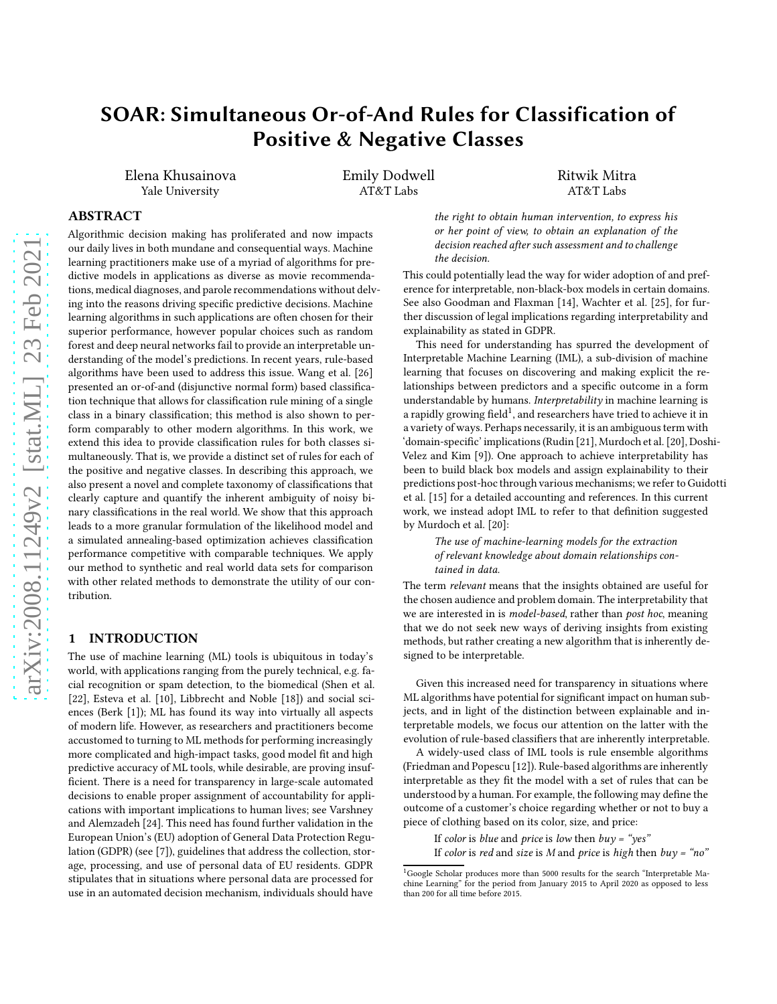# SOAR: Simultaneous Or-of-And Rules for Classification of Positive & Negative Classes

Elena Khusainova Yale University

Emily Dodwell AT&T Labs

Ritwik Mitra AT&T Labs

# ABSTRACT

Algorithmic decision making has proliferated and now impacts our daily lives in both mundane and consequential ways. Machine learning practitioners make use of a myriad of algorithms for predictive models in applications as diverse as movie recommendations, medical diagnoses, and parole recommendations without delving into the reasons driving specific predictive decisions. Machine learning algorithms in such applications are often chosen for their superior performance, however popular choices such as random forest and deep neural networks fail to provide an interpretable understanding of the model's predictions. In recent years, rule-based algorithms have been used to address this issue. Wang et al. [\[26\]](#page-7-0) presented an or-of-and (disjunctive normal form) based classification technique that allows for classification rule mining of a single class in a binary classification; this method is also shown to perform comparably to other modern algorithms. In this work, we extend this idea to provide classification rules for both classes simultaneously. That is, we provide a distinct set of rules for each of the positive and negative classes. In describing this approach, we also present a novel and complete taxonomy of classifications that clearly capture and quantify the inherent ambiguity of noisy binary classifications in the real world. We show that this approach leads to a more granular formulation of the likelihood model and a simulated annealing-based optimization achieves classification performance competitive with comparable techniques. We apply our method to synthetic and real world data sets for comparison with other related methods to demonstrate the utility of our contribution.

#### 1 INTRODUCTION

The use of machine learning (ML) tools is ubiquitous in today's world, with applications ranging from the purely technical, e.g. facial recognition or spam detection, to the biomedical (Shen et al. [\[22](#page-7-1)], Esteva et al. [\[10\]](#page-7-2), Libbrecht and Noble [\[18](#page-7-3)]) and social sciences (Berk [\[1](#page-7-4)]); ML has found its way into virtually all aspects of modern life. However, as researchers and practitioners become accustomed to turning to ML methods for performing increasingly more complicated and high-impact tasks, good model fit and high predictive accuracy of ML tools, while desirable, are proving insufficient. There is a need for transparency in large-scale automated decisions to enable proper assignment of accountability for applications with important implications to human lives; see Varshney and Alemzadeh [\[24\]](#page-7-5). This need has found further validation in the European Union's (EU) adoption of General Data Protection Regulation (GDPR) (see [\[7](#page-7-6)]), guidelines that address the collection, storage, processing, and use of personal data of EU residents. GDPR stipulates that in situations where personal data are processed for use in an automated decision mechanism, individuals should have

the right to obtain human intervention, to express his or her point of view, to obtain an explanation of the decision reached after such assessment and to challenge the decision.

This could potentially lead the way for wider adoption of and preference for interpretable, non-black-box models in certain domains. See also Goodman and Flaxman [\[14\]](#page-7-7), Wachter et al. [\[25\]](#page-7-8), for further discussion of legal implications regarding interpretability and explainability as stated in GDPR.

This need for understanding has spurred the development of Interpretable Machine Learning (IML), a sub-division of machine learning that focuses on discovering and making explicit the relationships between predictors and a specific outcome in a form understandable by humans. Interpretability in machine learning is a rapidly growing field $^1$ , and researchers have tried to achieve it in a variety of ways. Perhaps necessarily, it is an ambiguous term with 'domain-specific' implications (Rudin [\[21](#page-7-9)], Murdoch et al.[\[20\]](#page-7-10), Doshi-Velez and Kim [\[9](#page-7-11)]). One approach to achieve interpretability has been to build black box models and assign explainability to their predictions post-hoc through various mechanisms; we refer to Guidotti et al. [\[15](#page-7-12)] for a detailed accounting and references. In this current work, we instead adopt IML to refer to that definition suggested by Murdoch et al. [\[20](#page-7-10)]:

> The use of machine-learning models for the extraction of relevant knowledge about domain relationships contained in data.

The term relevant means that the insights obtained are useful for the chosen audience and problem domain. The interpretability that we are interested in is model-based, rather than post hoc, meaning that we do not seek new ways of deriving insights from existing methods, but rather creating a new algorithm that is inherently designed to be interpretable.

Given this increased need for transparency in situations where ML algorithms have potential for significant impact on human subjects, and in light of the distinction between explainable and interpretable models, we focus our attention on the latter with the evolution of rule-based classifiers that are inherently interpretable.

A widely-used class of IML tools is rule ensemble algorithms (Friedman and Popescu [\[12](#page-7-13)]). Rule-based algorithms are inherently interpretable as they fit the model with a set of rules that can be understood by a human. For example, the following may define the outcome of a customer's choice regarding whether or not to buy a piece of clothing based on its color, size, and price:

If color is blue and price is low then  $buy = "yes"$ 

If color is red and size is M and price is high then  $buy = \n m'$ 

<sup>1</sup>Google Scholar produces more than 5000 results for the search "Interpretable Machine Learning" for the period from January 2015 to April 2020 as opposed to less than 200 for all time before 2015.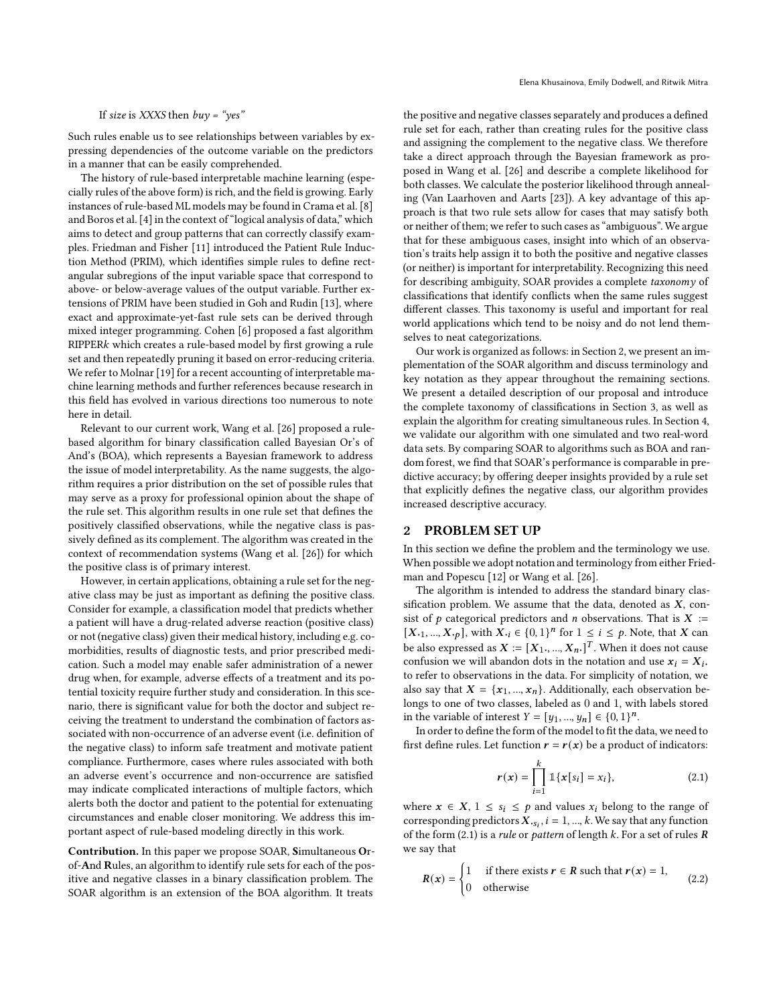#### If size is XXXS then  $buy = "yes"$

Such rules enable us to see relationships between variables by expressing dependencies of the outcome variable on the predictors in a manner that can be easily comprehended.

The history of rule-based interpretable machine learning (especially rules of the above form) is rich, and the field is growing. Early instances of rule-based ML models may be found in Crama et al.[\[8\]](#page-7-14) and Boros et al. [\[4](#page-7-15)] in the context of "logical analysis of data," which aims to detect and group patterns that can correctly classify examples. Friedman and Fisher [\[11\]](#page-7-16) introduced the Patient Rule Induction Method (PRIM), which identifies simple rules to define rectangular subregions of the input variable space that correspond to above- or below-average values of the output variable. Further extensions of PRIM have been studied in Goh and Rudin [\[13](#page-7-17)], where exact and approximate-yet-fast rule sets can be derived through mixed integer programming. Cohen [\[6\]](#page-7-18) proposed a fast algorithm RIPPER<sub>k</sub> which creates a rule-based model by first growing a rule set and then repeatedly pruning it based on error-reducing criteria. We refer to Molnar [\[19\]](#page-7-19) for a recent accounting of interpretable machine learning methods and further references because research in this field has evolved in various directions too numerous to note here in detail.

Relevant to our current work, Wang et al. [\[26](#page-7-0)] proposed a rulebased algorithm for binary classification called Bayesian Or's of And's (BOA), which represents a Bayesian framework to address the issue of model interpretability. As the name suggests, the algorithm requires a prior distribution on the set of possible rules that may serve as a proxy for professional opinion about the shape of the rule set. This algorithm results in one rule set that defines the positively classified observations, while the negative class is passively defined as its complement. The algorithm was created in the context of recommendation systems (Wang et al. [\[26](#page-7-0)]) for which the positive class is of primary interest.

However, in certain applications, obtaining a rule set for the negative class may be just as important as defining the positive class. Consider for example, a classification model that predicts whether a patient will have a drug-related adverse reaction (positive class) or not (negative class) given their medical history, including e.g. comorbidities, results of diagnostic tests, and prior prescribed medication. Such a model may enable safer administration of a newer drug when, for example, adverse effects of a treatment and its potential toxicity require further study and consideration. In this scenario, there is significant value for both the doctor and subject receiving the treatment to understand the combination of factors associated with non-occurrence of an adverse event (i.e. definition of the negative class) to inform safe treatment and motivate patient compliance. Furthermore, cases where rules associated with both an adverse event's occurrence and non-occurrence are satisfied may indicate complicated interactions of multiple factors, which alerts both the doctor and patient to the potential for extenuating circumstances and enable closer monitoring. We address this important aspect of rule-based modeling directly in this work.

Contribution. In this paper we propose SOAR, Simultaneous Orof-And Rules, an algorithm to identify rule sets for each of the positive and negative classes in a binary classification problem. The SOAR algorithm is an extension of the BOA algorithm. It treats

the positive and negative classes separately and produces a defined rule set for each, rather than creating rules for the positive class and assigning the complement to the negative class. We therefore take a direct approach through the Bayesian framework as proposed in Wang et al. [\[26](#page-7-0)] and describe a complete likelihood for both classes. We calculate the posterior likelihood through annealing (Van Laarhoven and Aarts [\[23\]](#page-7-20)). A key advantage of this approach is that two rule sets allow for cases that may satisfy both or neither of them; we refer to such cases as "ambiguous". We argue that for these ambiguous cases, insight into which of an observation's traits help assign it to both the positive and negative classes (or neither) is important for interpretability. Recognizing this need for describing ambiguity, SOAR provides a complete taxonomy of classifications that identify conflicts when the same rules suggest different classes. This taxonomy is useful and important for real world applications which tend to be noisy and do not lend themselves to neat categorizations.

Our work is organized as follows: in Section [2,](#page-1-0) we present an implementation of the SOAR algorithm and discuss terminology and key notation as they appear throughout the remaining sections. We present a detailed description of our proposal and introduce the complete taxonomy of classifications in Section [3,](#page-2-0) as well as explain the algorithm for creating simultaneous rules. In Section [4,](#page-4-0) we validate our algorithm with one simulated and two real-word data sets. By comparing SOAR to algorithms such as BOA and random forest, we find that SOAR's performance is comparable in predictive accuracy; by offering deeper insights provided by a rule set that explicitly defines the negative class, our algorithm provides increased descriptive accuracy.

#### <span id="page-1-0"></span>2 PROBLEM SET UP

In this section we define the problem and the terminology we use. When possible we adopt notation and terminology from either Friedman and Popescu [\[12\]](#page-7-13) or Wang et al. [\[26](#page-7-0)].

The algorithm is intended to address the standard binary classification problem. We assume that the data, denoted as  $X$ , consist of  $p$  categorical predictors and  $n$  observations. That is  $X :=$  $[X_{\cdot1},..., X_{\cdot p}]$ , with  $X_{\cdot i} \in \{0,1\}^n$  for  $1 \leq i \leq p$ . Note, that X can be also expressed as  $\boldsymbol{X} \coloneqq [\boldsymbol{X}_{1},...,\boldsymbol{X}_{n\cdot}]^T.$  When it does not cause confusion we will abandon dots in the notation and use  $x_i = X_i$ . to refer to observations in the data. For simplicity of notation, we also say that  $X = \{x_1, ..., x_n\}$ . Additionally, each observation belongs to one of two classes, labeled as 0 and 1, with labels stored in the variable of interest  $Y = [y_1, ..., y_n] \in \{0, 1\}^n$ .

In order to define the form of the model to fit the data, we need to first define rules. Let function  $\mathbf{r} = \mathbf{r}(\mathbf{x})$  be a product of indicators:

<span id="page-1-1"></span>
$$
r(x) = \prod_{i=1}^{k} \mathbb{1}\{x[s_i] = x_i\},\tag{2.1}
$$

where  $x \in X$ ,  $1 \leq s_i \leq p$  and values  $x_i$  belong to the range of corresponding predictors  $\hat{X}_{s_i}$ ,  $i = 1, ..., k$ . We say that any function of the form [\(2.1\)](#page-1-1) is a rule or pattern of length  $k$ . For a set of rules  $$ we say that

$$
R(x) = \begin{cases} 1 & \text{if there exists } r \in R \text{ such that } r(x) = 1, \\ 0 & \text{otherwise} \end{cases} \tag{2.2}
$$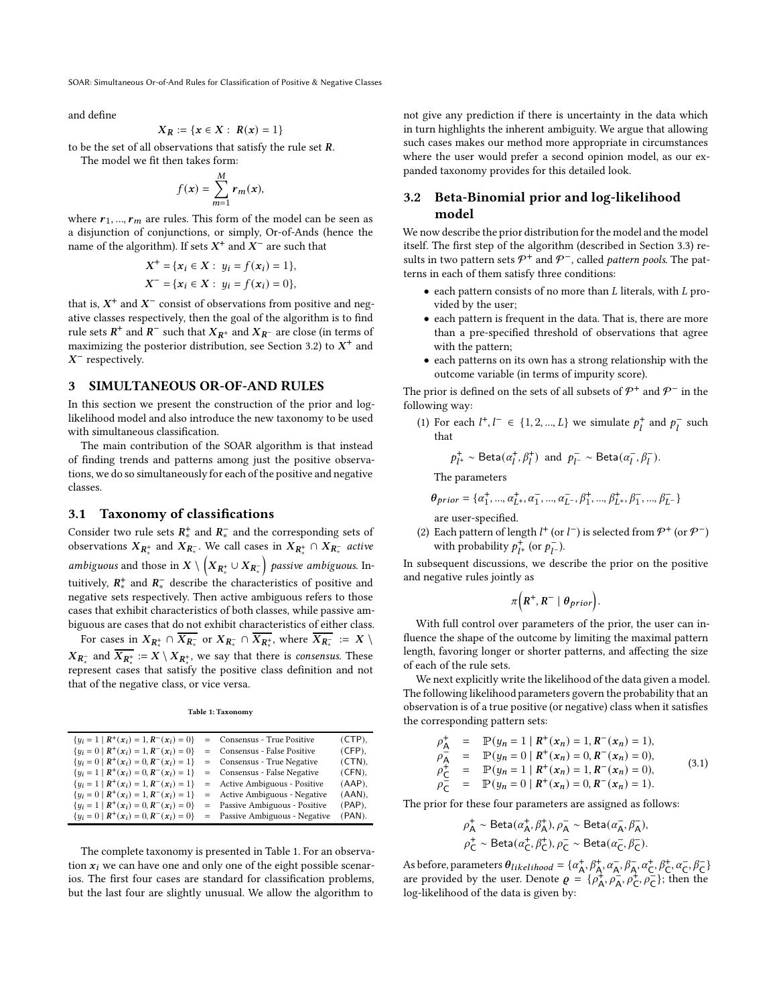SOAR: Simultaneous Or-of-And Rules for Classification of Positive & Negative Classes

and define

$$
X_R := \{ x \in X : R(x) = 1 \}
$$

to be the set of all observations that satisfy the rule set *.* 

The model we fit then takes form:

$$
f(\mathbf{x}) = \sum_{m=1}^{M} \mathbf{r}_m(\mathbf{x}),
$$

where  $r_1$ , ...,  $r_m$  are rules. This form of the model can be seen as a disjunction of conjunctions, or simply, Or-of-Ands (hence the name of the algorithm). If sets  $X^+$  and  $X^-$  are such that

$$
X^{+} = \{x_{i} \in X : y_{i} = f(x_{i}) = 1\},
$$
  

$$
X^{-} = \{x_{i} \in X : y_{i} = f(x_{i}) = 0\},
$$

that is,  $X^+$  and  $X^-$  consist of observations from positive and negative classes respectively, then the goal of the algorithm is to find rule sets  $R^+$  and  $R^-$  such that  $X_{R^+}$  and  $X_{R^-}$  are close (in terms of maximizing the posterior distribution, see Section [3.2\)](#page-2-1) to  $X^+$  and  $X^-$  respectively.

#### <span id="page-2-0"></span>3 SIMULTANEOUS OR-OF-AND RULES

In this section we present the construction of the prior and loglikelihood model and also introduce the new taxonomy to be used with simultaneous classification.

The main contribution of the SOAR algorithm is that instead of finding trends and patterns among just the positive observations, we do so simultaneously for each of the positive and negative classes.

#### 3.1 Taxonomy of classifications

Consider two rule sets  $R^+_*$  and  $R^-_*$  and the corresponding sets of observations  $X_{\mathbb{R}^*_*}$  and  $X_{\mathbb{R}^-_*}$ . We call cases in  $X_{\mathbb{R}^+_*} \cap X_{\mathbb{R}^-_*}$  *active* ambiguous and those in  $X\setminus \left( X_{I\!\!R^+_*} \cup X_{I\!\!R^-_+} \right)$  passive ambiguous. Intuitively,  $R^+_*$  and  $R^-_*$  describe the characteristics of positive and negative sets respectively. Then active ambiguous refers to those cases that exhibit characteristics of both classes, while passive ambiguous are cases that do not exhibit characteristics of either class.

For cases in  $X_{R^+_*} \cap \overline{X_{R^-_*}}$  or  $X_{R^-_*} \cap \overline{X_{R^+_*}}$ , where  $\overline{X_{R^-_*}} := X \setminus$  $X_{R_*^-}$  and  $\overline{X_{R_*^+}} := X \setminus X_{R_*^+}$ , we say that there is *consensus*. These represent cases that satisfy the positive class definition and not that of the negative class, or vice versa.

|  |  | Table 1: Taxonomy |
|--|--|-------------------|
|--|--|-------------------|

<span id="page-2-2"></span>

| ${u_i = 1   R^+(x_i) = 1, R^-(x_i) = 0}$                   | = Consensus - True Positive    | $(CTP)$ , |
|------------------------------------------------------------|--------------------------------|-----------|
| ${u_i = 0   \mathbf{R}^+(x_i) = 1, \mathbf{R}^-(x_i) = 0}$ | = Consensus - False Positive   | $(CFP)$ , |
| ${u_i = 0   R^+(x_i) = 0, R^-(x_i) = 1}$                   | = Consensus - True Negative    | $(CTN)$ , |
| ${u_i = 1   R^+(x_i) = 0, R^-(x_i) = 1}$                   | = Consensus - False Negative   | $(CFN)$ , |
| ${u_i = 1   R^+(x_i) = 1, R^-(x_i) = 1}$                   | = Active Ambiguous - Positive  | $(AAP)$ , |
| ${u_i = 0   R^+(x_i) = 1, R^-(x_i) = 1}$                   | = Active Ambiguous - Negative  | $(AAN)$ , |
| ${u_i = 1   R^+(x_i) = 0, R^-(x_i) = 0}$                   | = Passive Ambiguous - Positive | $(PAP)$ , |
| ${u_i = 0   \mathbf{R}^+(x_i) = 0, \mathbf{R}^-(x_i) = 0}$ | = Passive Ambiguous - Negative | $(PAN)$ . |

The complete taxonomy is presented in Table [1.](#page-2-2) For an observation  $x_i$  we can have one and only one of the eight possible scenarios. The first four cases are standard for classification problems, but the last four are slightly unusual. We allow the algorithm to

not give any prediction if there is uncertainty in the data which in turn highlights the inherent ambiguity. We argue that allowing such cases makes our method more appropriate in circumstances where the user would prefer a second opinion model, as our expanded taxonomy provides for this detailed look.

# <span id="page-2-1"></span>3.2 Beta-Binomial prior and log-likelihood model

We now describe the prior distribution for the model and the model itself. The first step of the algorithm (described in Section [3.3\)](#page-3-0) results in two pattern sets  $\mathcal{P}^+$  and  $\mathcal{P}^-$ , called *pattern pools*. The patterns in each of them satisfy three conditions:

- $\bullet$  each pattern consists of no more than  $L$  literals, with  $L$  provided by the user;
- each pattern is frequent in the data. That is, there are more than a pre-specified threshold of observations that agree with the pattern;
- each patterns on its own has a strong relationship with the outcome variable (in terms of impurity score).

The prior is defined on the sets of all subsets of  $\mathcal{P}^+$  and  $\mathcal{P}^-$  in the following way:

(1) For each  $l^+, l^- \in \{1, 2, ..., L\}$  we simulate  $p_l^+$  and  $p_l^-$  such that

$$
p^+_{l^+} \sim \textsf{Beta}(\alpha^+_l, \beta^+_l) \text{ and } p^-_{l^-} \sim \textsf{Beta}(\alpha^-_l, \beta^-_l).
$$

The parameters

$$
\theta_{prior} = \{\alpha_1^+, ..., \alpha_{L^+}^+, \alpha_1^-, ..., \alpha_{L^-}^-, \beta_1^+, ..., \beta_{L^+}^+, \beta_1^-, ..., \beta_{L^-}^-\}
$$

are user-specified.

(2) Each pattern of length  $l^+$  (or  $l^-$ ) is selected from  $\mathcal{P}^+$  (or  $\mathcal{P}^-$ ) with probability  $p_{l+}^{+}$  (or  $p_{l-}^{-}$ ).

In subsequent discussions, we describe the prior on the positive and negative rules jointly as

$$
\pi\Big(R^+, R^-\mid \theta_{prior}\Big).
$$

With full control over parameters of the prior, the user can influence the shape of the outcome by limiting the maximal pattern length, favoring longer or shorter patterns, and affecting the size of each of the rule sets.

We next explicitly write the likelihood of the data given a model. The following likelihood parameters govern the probability that an observation is of a true positive (or negative) class when it satisfies the corresponding pattern sets:

$$
\rho_{\mathsf{A}}^+ = \mathbb{P}(y_n = 1 | \mathbf{R}^+ (x_n) = 1, \mathbf{R}^- (x_n) = 1),
$$
  
\n
$$
\rho_{\mathsf{A}}^- = \mathbb{P}(y_n = 0 | \mathbf{R}^+ (x_n) = 0, \mathbf{R}^- (x_n) = 0),
$$
  
\n
$$
\rho_{\mathsf{C}}^+ = \mathbb{P}(y_n = 1 | \mathbf{R}^+ (x_n) = 1, \mathbf{R}^- (x_n) = 0),
$$
  
\n
$$
\rho_{\mathsf{C}}^- = \mathbb{P}(y_n = 0 | \mathbf{R}^+ (x_n) = 0, \mathbf{R}^- (x_n) = 1).
$$
\n(3.1)

The prior for these four parameters are assigned as follows:

$$
\begin{aligned} &\rho_{\mathsf{A}}^{\dagger}\sim\mathsf{Beta}(\alpha_{\mathsf{A}}^{\dagger},\beta_{\mathsf{A}}^{\dagger}),\rho_{\mathsf{A}}^{\top}\sim\mathsf{Beta}(\alpha_{\mathsf{A}}^{\dagger},\beta_{\mathsf{A}}^{\top}),\\ &\rho_{\mathsf{C}}^{\dagger}\sim\mathsf{Beta}(\alpha_{\mathsf{C}}^{\dagger},\beta_{\mathsf{C}}^{\dagger}),\rho_{\mathsf{C}}^{\top}\sim\mathsf{Beta}(\alpha_{\mathsf{C}}^{\dagger},\beta_{\mathsf{C}}^{\top}). \end{aligned}
$$

As before, parameters  $\theta_{likelihood} = \{\alpha_{\mathsf{A}}^{+}, \beta_{\mathsf{A}}^{+}, \alpha_{\mathsf{A}}^{-}, \beta_{\mathsf{A}}^{-}, \alpha_{\mathsf{C}}^{+}, \beta_{\mathsf{C}}^{+}, \alpha_{\mathsf{C}}^{-}, \beta_{\mathsf{C}}^{-}\}$ are provided by the user. Denote  $\rho = {\rho_A^+, \rho_A^-, \rho_C^+, \rho_C^-,}$ ; then the log-likelihood of the data is given by: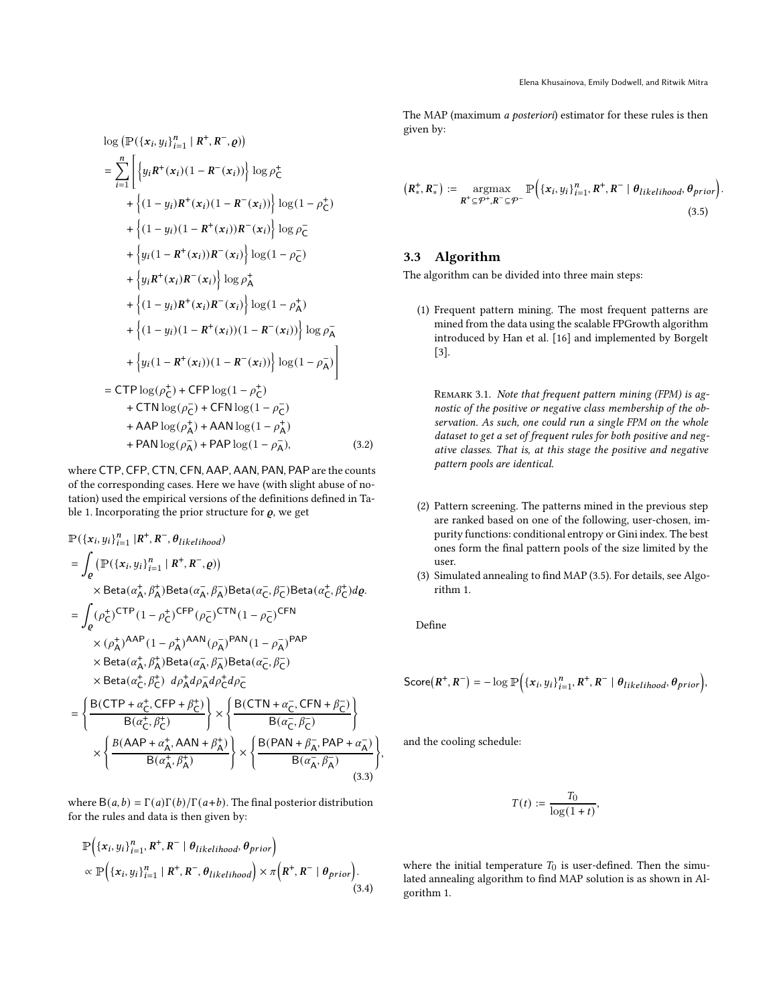$$
\log (\mathbb{P}(\{x_i, y_i\}_{i=1}^n | R^+, R^-, \varrho))
$$
\n=
$$
\sum_{i=1}^n \left[ \{y_i R^+(x_i)(1 - R^-(x_i)) \} \log \rho_C^+ + \{(1 - y_i)R^+(x_i)(1 - R^-(x_i)) \} \log (1 - \rho_C^+) + \{(1 - y_i)(1 - R^+(x_i))R^-(x_i) \} \log \rho_C^- + \{y_i (1 - R^+(x_i))R^-(x_i) \} \log (1 - \rho_C^-) + \{y_i R^+(x_i)R^-(x_i) \} \log (1 - \rho_A^+) + \{(1 - y_i)R^+(x_i)R^-(x_i) \} \log (1 - \rho_A^+) + \{(1 - y_i)(1 - R^+(x_i))(1 - R^-(x_i)) \} \log \rho_A^- + \{y_i (1 - R^+(x_i))(1 - R^-(x_i)) \} \log (1 - \rho_A^-) \right]
$$
\n=
$$
\text{CTP} \log (\rho_C^+) + \text{CFP} \log (1 - \rho_C^+) + \text{CTN} \log (\rho_C^-) + \text{CFN} \log (1 - \rho_C^+) + \text{ATN} \log (\rho_A^+) + \text{AAN} \log (1 - \rho_A^-), \qquad (3.2)
$$

where CTP, CFP, CTN, CFN, AAP, AAN, PAN, PAP are the counts of the corresponding cases. Here we have (with slight abuse of notation) used the empirical versions of the definitions defined in Ta-ble [1.](#page-2-2) Incorporating the prior structure for  $\rho$ , we get

$$
\mathbb{P}(\{x_i, y_i\}_{i=1}^n | R^+, R^-, \theta_{likelihood})
$$
\n
$$
= \int_{\varrho} (\mathbb{P}(\{x_i, y_i\}_{i=1}^n | R^+, R^-, \varrho))
$$
\n
$$
\times \text{Beta}(\alpha_{\mathsf{A}}^+, \beta_{\mathsf{A}}^+) \text{Beta}(\alpha_{\mathsf{A}}^-, \beta_{\mathsf{A}}^-) \text{Beta}(\alpha_{\mathsf{C}}^-, \beta_{\mathsf{C}}^-) \text{Beta}(\alpha_{\mathsf{C}}^+, \beta_{\mathsf{C}}^+) d\varrho.
$$
\n
$$
= \int_{\varrho} (\rho_{\mathsf{C}}^+)^{\text{CTP}} (1 - \rho_{\mathsf{C}}^+)^{\text{CFP}} (\rho_{\mathsf{C}}^-)^{\text{CTN}} (1 - \rho_{\mathsf{C}}^-)^{\text{CFN}}
$$
\n
$$
\times (\rho_{\mathsf{A}}^+)^{\text{AAP}} (1 - \rho_{\mathsf{A}}^+)^{\text{AAN}} (\rho_{\mathsf{A}}^-)^{\text{PAN}} (1 - \rho_{\mathsf{A}}^-)^{\text{PAP}}
$$
\n
$$
\times \text{Beta}(\alpha_{\mathsf{A}}^+, \beta_{\mathsf{A}}^+) \text{Beta}(\alpha_{\mathsf{A}}^-, \beta_{\mathsf{A}}^-) \text{Beta}(\alpha_{\mathsf{C}}^-, \beta_{\mathsf{C}}^-)
$$
\n
$$
\times \text{Beta}(\alpha_{\mathsf{C}}^+, \beta_{\mathsf{C}}^+) d\rho_{\mathsf{A}}^+ d\rho_{\mathsf{A}}^- d\rho_{\mathsf{C}}^+ d\rho_{\mathsf{C}}^-
$$
\n
$$
= \left\{ \frac{\text{B}(\text{CTP} + \alpha_{\mathsf{C}}^+, \text{CFP} + \beta_{\mathsf{C}}^+)}{\text{B}(\alpha_{\mathsf{C}}^+, \beta_{\mathsf{C}}^+)} \right\} \times \left\{ \frac{\text{B}(\text{CTN} + \alpha_{\mathsf{C}}^-, \text{CFN} + \beta_{\mathsf{C}}^-)}{\text{B}(\alpha_{\mathsf{C}}^-, \beta_{\mathsf{C}}^-)} \right\}
$$
\n
$$
\times \left\{ \frac{\text{B}(\text{AAP} + \
$$

where  $B(a, b) = \Gamma(a)\Gamma(b)/\Gamma(a+b)$ . The final posterior distribution for the rules and data is then given by:

$$
\mathbb{P}\Big(\{x_i, y_i\}_{i=1}^n, R^+, R^- \mid \theta_{likelihood}, \theta_{prior}\Big) \propto \mathbb{P}\Big(\{x_i, y_i\}_{i=1}^n \mid R^+, R^-, \theta_{likelihood}\Big) \times \pi\Big(R^+, R^- \mid \theta_{prior}\Big).
$$
\n(3.4)

The MAP (maximum a posteriori) estimator for these rules is then given by:

<span id="page-3-1"></span>
$$
\left(R_{*}^{+}, R_{*}^{-}\right) := \underset{\mathbf{R}^{+} \subseteq \mathcal{P}^{+}, \mathbf{R}^{-} \subseteq \mathcal{P}^{-}}{\operatorname{argmax}} \mathbb{P}\left(\left\{x_{i}, y_{i}\right\}_{i=1}^{n}, \mathbf{R}^{+}, \mathbf{R}^{-} \mid \theta_{likelihood}, \theta_{prior}\right).
$$
\n(3.5)

# <span id="page-3-0"></span>3.3 Algorithm

The algorithm can be divided into three main steps:

(1) Frequent pattern mining. The most frequent patterns are mined from the data using the scalable FPGrowth algorithm introduced by Han et al. [\[16\]](#page-7-21) and implemented by Borgelt [\[3\]](#page-7-22).

REMARK 3.1. Note that frequent pattern mining (FPM) is agnostic of the positive or negative class membership of the observation. As such, one could run a single FPM on the whole dataset to get a set of frequent rules for both positive and negative classes. That is, at this stage the positive and negative pattern pools are identical.

- (2) Pattern screening. The patterns mined in the previous step are ranked based on one of the following, user-chosen, impurity functions: conditional entropy or Gini index. The best ones form the final pattern pools of the size limited by the user.
- (3) Simulated annealing to find MAP [\(3.5\)](#page-3-1). For details, see Algorithm [1.](#page-4-1)

Define

,

$$
\mathsf{Score}(R^+, R^-) = -\log \mathbb{P}\Big(\{x_i, y_i\}_{i=1}^n, R^+, R^- \mid \theta_{likelihood}, \theta_{prior}\Big),
$$

and the cooling schedule:

$$
T(t) := \frac{T_0}{\log(1+t)},
$$

where the initial temperature  $T_0$  is user-defined. Then the simulated annealing algorithm to find MAP solution is as shown in Algorithm [1.](#page-4-1)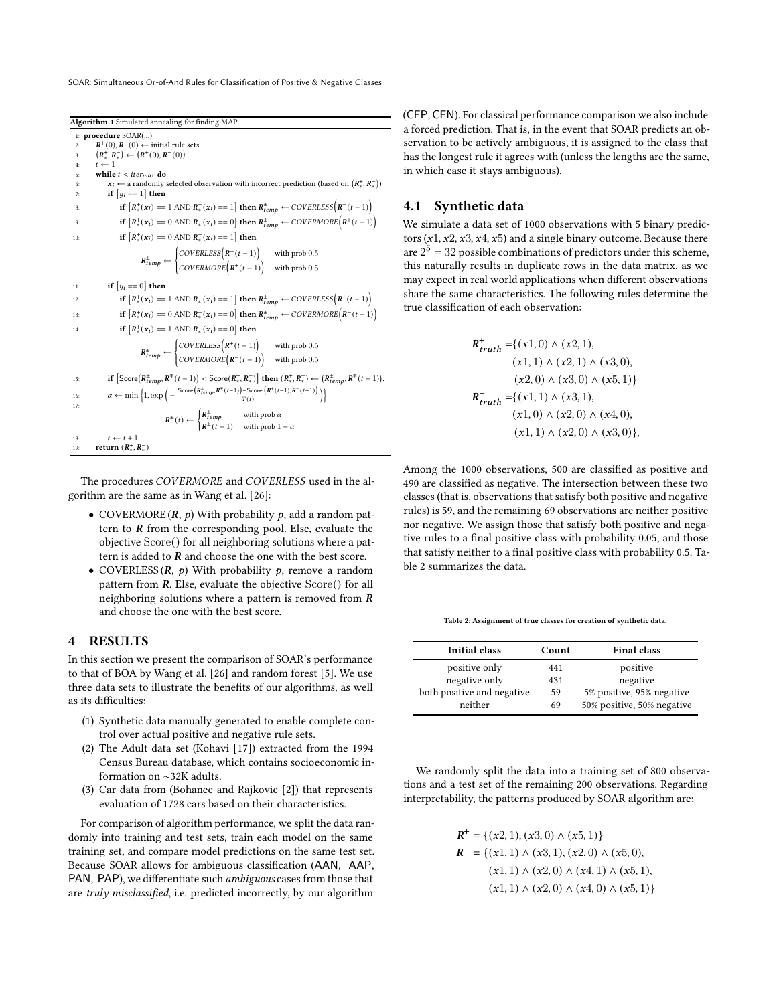<span id="page-4-1"></span>SOAR: Simultaneous Or-of-And Rules for Classification of Positive & Negative Classes

Algorithm 1 Simulated annealing for finding MAP 1: procedure SOAR(...) 2:  $R^+(0), R^-(0)$  ← initial rule sets 3:  $(R^+_*, R^-_*) \leftarrow (R^+(0), R^-(0))$  $t \leftarrow 1$ while  $t <$  iter $_{max}$  do 6:  $x_i \leftarrow$  a randomly selected observation with incorrect prediction (based on  $(R_*^+, R_*^-)$ ) 7: if  $[y_i == 1]$  then 8: if  $\left[ R_*^+(x_i) = 1 \text{ AND } R_*^-(x_i) = 1 \right]$  then  $R_{temp}^+ \leftarrow \text{COVERLESS}\left( R^-(t-1) \right)$ 9: **if**  $[R^+_*(x_i) == 0 \text{ AND } R^-_*(x_i) == 0]$  then  $R^+_{temp} \leftarrow COVERMORE(R^+(t-1))$ 10: **if**  $[R_*^+(x_i) == 0 \text{ AND } R_*^-(x_i) == 1]$  then  $R_{temp}^{\pm} \leftarrow$  $\overline{\mathcal{L}}$ i,  $\text{COVERLESS}\left(\mathbf{R}^{-}(t-1)\right)$  with prob 0.5  $\text{COVERMORE}(\mathbf{R}^+(t-1))$  with prob 0.5 11: if  $[y_i == 0]$  then 12: **if**  $[R^+_*(x_i) == 1 \text{ AND } R^-_*(x_i) == 1]$  then  $R^+_{temp} \leftarrow COVERLESS(R^+(t-1))$ 13: **if**  $\left[ R_*^+(x_i) = 0 \text{ AND } R_*^-(x_i) = 0 \right]$  then  $R_{temp}^+ \leftarrow COVERMORE \Big( R^-(t-1) \Big)$ 14: **if**  $[R_*^+(x_i) == 1 \text{ AND } R_*^-(x_i) == 0]$  then  $R_{temp}^{\pm} \leftarrow \Bigg\{$  $\overline{\mathcal{L}}$ 15: **if**  $[\text{Score}(R_{temp}^*, R^{\mp}(t-1)) < \text{Score}(R_{*}^*, R_{*})]$  then  $(R_{*}^*, R_{*}^{\mp}) \leftarrow (R_{temp}^*, R^{\mp}(t-1)).$  $\text{COVERLESS}(\mathbf{R}^+(t-1))$  with prob 0.5  $\text{COVERMORE} \left( \mathbf{R}^{-} (t-1) \right)$  with prob 0.5 16:  $\alpha \leftarrow \min\left\{1, \exp\left(-\frac{\text{Score}\left(R_{temp}^*, R^{\top}(t-1)\right) - \text{Score}\left(R^+(t-1), R^-(t-1)\right)}{T(t)}\right)\right\}$ 17:  $R^{\pm}(t) \leftarrow \begin{cases} R^{\pm}_{temp} & \text{with prob } a \\ \frac{1}{1 + k} & \text{with prob } a \end{cases}$  $R^{\pm}(t-1)$  with prob  $1 - \alpha$ 18:  $t \leftarrow t + 1$ 19: **return**  $(R^+_*, R^-_*)$ 

The procedures COVERMORE and COVERLESS used in the algorithm are the same as in Wang et al. [\[26](#page-7-0)]:

- COVERMORE  $(R, p)$  With probability  $p$ , add a random pattern to  *from the corresponding pool. Else, evaluate the* objective Score() for all neighboring solutions where a pattern is added to  *and choose the one with the best score.*
- COVERLESS  $(R, p)$  With probability  $p$ , remove a random pattern from *. Else, evaluate the objective*  $Score()$  *for all* neighboring solutions where a pattern is removed from  $$ and choose the one with the best score.

# <span id="page-4-0"></span>4 RESULTS

In this section we present the comparison of SOAR's performance to that of BOA by Wang et al. [\[26](#page-7-0)] and random forest [\[5](#page-7-23)]. We use three data sets to illustrate the benefits of our algorithms, as well as its difficulties:

- (1) Synthetic data manually generated to enable complete control over actual positive and negative rule sets.
- (2) The Adult data set (Kohavi [\[17](#page-7-24)]) extracted from the 1994 Census Bureau database, which contains socioeconomic information on ∼32K adults.
- (3) Car data from (Bohanec and Rajkovic [\[2\]](#page-7-25)) that represents evaluation of 1728 cars based on their characteristics.

For comparison of algorithm performance, we split the data randomly into training and test sets, train each model on the same training set, and compare model predictions on the same test set. Because SOAR allows for ambiguous classification (AAN, AAP, PAN, PAP), we differentiate such ambiguous cases from those that are truly misclassified, i.e. predicted incorrectly, by our algorithm

(CFP, CFN). For classical performance comparison we also include a forced prediction. That is, in the event that SOAR predicts an observation to be actively ambiguous, it is assigned to the class that has the longest rule it agrees with (unless the lengths are the same, in which case it stays ambiguous).

#### 4.1 Synthetic data

We simulate a data set of 1000 observations with 5 binary predictors  $(x1, x2, x3, x4, x5)$  and a single binary outcome. Because there are  $2^5 = 32$  possible combinations of predictors under this scheme, this naturally results in duplicate rows in the data matrix, as we may expect in real world applications when different observations share the same characteristics. The following rules determine the true classification of each observation:

$$
R_{truth}^{+} = \{(x1, 0) \land (x2, 1),(x1, 1) \land (x2, 1) \land (x3, 0),(x2, 0) \land (x3, 0) \land (x5, 1)\}
$$
  

$$
R_{truth}^{-} = \{(x1, 1) \land (x3, 1),(x1, 0) \land (x2, 0) \land (x4, 0),(x1, 1) \land (x2, 0) \land (x3, 0)\},
$$

Among the 1000 observations, 500 are classified as positive and 490 are classified as negative. The intersection between these two classes (that is, observations that satisfy both positive and negative rules) is 59, and the remaining 69 observations are neither positive nor negative. We assign those that satisfy both positive and negative rules to a final positive class with probability 0.05, and those that satisfy neither to a final positive class with probability 0.5. Table [2](#page-4-2) summarizes the data.

<span id="page-4-2"></span>Table 2: Assignment of true classes for creation of synthetic data.

| <b>Initial class</b>       | Count | <b>Final class</b>         |
|----------------------------|-------|----------------------------|
| positive only              | 441   | positive                   |
| negative only              | 431   | negative                   |
| both positive and negative | 59    | 5% positive, 95% negative  |
| neither                    | 69    | 50% positive, 50% negative |

We randomly split the data into a training set of 800 observations and a test set of the remaining 200 observations. Regarding interpretability, the patterns produced by SOAR algorithm are:

$$
R^{+} = \{(x2, 1), (x3, 0) \land (x5, 1)\}\
$$
  
\n
$$
R^{-} = \{(x1, 1) \land (x3, 1), (x2, 0) \land (x5, 0),
$$
  
\n
$$
(x1, 1) \land (x2, 0) \land (x4, 1) \land (x5, 1),
$$
  
\n
$$
(x1, 1) \land (x2, 0) \land (x4, 0) \land (x5, 1)\}
$$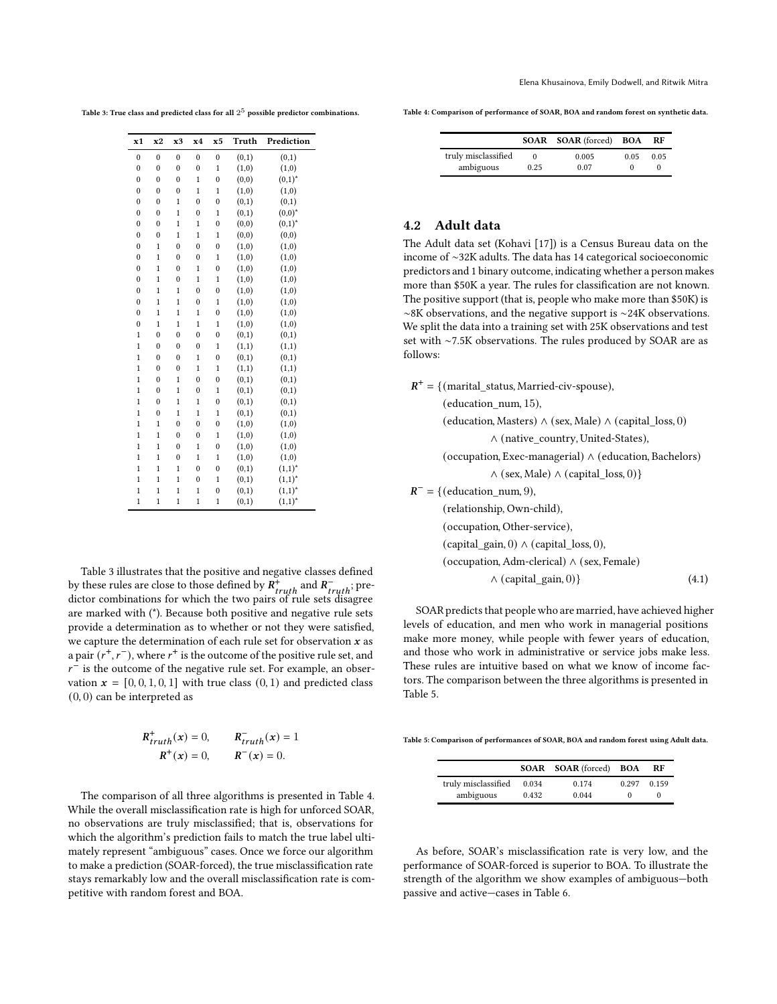<span id="page-5-0"></span>Table 3: True class and predicted class for all  $2^5$  possible predictor combinations.

| x1               | x2             | x3             | x4             | x5           | Truth | Prediction  |
|------------------|----------------|----------------|----------------|--------------|-------|-------------|
| $\mathbf{0}$     | $\mathbf{0}$   | $\mathbf{0}$   | $\mathbf{0}$   | $\mathbf{0}$ | (0,1) | (0,1)       |
| $\mathbf{0}$     | $\overline{0}$ | $\mathbf{0}$   | $\mathbf{0}$   | $\mathbf{1}$ | (1,0) | (1,0)       |
| $\overline{0}$   | $\overline{0}$ | $\overline{0}$ | $\mathbf{1}$   | $\mathbf{0}$ | (0,0) | $(0,1)^{*}$ |
| $\overline{0}$   | $\overline{0}$ | $\overline{0}$ | $\overline{1}$ | $\mathbf{1}$ | (1,0) | (1,0)       |
| $\mathbf{0}$     | $\mathbf{0}$   | $\mathbf{1}$   | $\mathbf{0}$   | $\bf{0}$     | (0,1) | (0,1)       |
| $\mathbf{0}$     | $\mathbf{0}$   | $\mathbf{1}$   | $\mathbf{0}$   | $\mathbf{1}$ | (0,1) | $(0,0)^{*}$ |
| $\mathbf{0}$     | $\mathbf{0}$   | $\mathbf{1}$   | $\mathbf{1}$   | $\mathbf{0}$ | (0,0) | $(0,1)^{*}$ |
| $\mathbf{0}$     | $\mathbf{0}$   | $\mathbf{1}$   | $\mathbf{1}$   | $\mathbf{1}$ | (0,0) | (0,0)       |
| $\mathbf{0}$     | $\mathbf{1}$   | $\mathbf{0}$   | $\mathbf{0}$   | $\mathbf{0}$ | (1,0) | (1,0)       |
| $\mathbf{0}$     | $\mathbf{1}$   | $\mathbf{0}$   | $\mathbf{0}$   | $\mathbf{1}$ | (1,0) | (1,0)       |
| $\mathbf{0}$     | $\mathbf{1}$   | $\mathbf{0}$   | $\mathbf{1}$   | $\mathbf{0}$ | (1,0) | (1,0)       |
| $\mathbf{0}$     | $\mathbf{1}$   | $\mathbf{0}$   | $\mathbf{1}$   | $\mathbf{1}$ | (1,0) | (1,0)       |
| $\mathbf{0}$     | $\mathbf{1}$   | $\mathbf{1}$   | $\mathbf{0}$   | $\mathbf{0}$ | (1,0) | (1,0)       |
| $\mathbf{0}$     | $\mathbf{1}$   | $\mathbf{1}$   | $\mathbf{0}$   | $\mathbf{1}$ | (1,0) | (1,0)       |
| $\boldsymbol{0}$ | $\mathbf{1}$   | $\mathbf{1}$   | $\mathbf{1}$   | $\bf{0}$     | (1,0) | (1,0)       |
| $\mathbf{0}$     | $\mathbf{1}$   | $\mathbf{1}$   | $\mathbf{1}$   | $\mathbf{1}$ | (1,0) | (1,0)       |
| $\mathbf{1}$     | $\overline{0}$ | $\overline{0}$ | $\overline{0}$ | $\mathbf{0}$ | (0,1) | (0,1)       |
| $\mathbf{1}$     | $\overline{0}$ | $\mathbf{0}$   | $\mathbf{0}$   | $\mathbf{1}$ | (1,1) | (1,1)       |
| $\mathbf{1}$     | $\mathbf{0}$   | $\mathbf{0}$   | $\mathbf{1}$   | $\mathbf{0}$ | (0,1) | (0,1)       |
| $\mathbf{1}$     | $\mathbf{0}$   | $\mathbf{0}$   | $\mathbf{1}$   | $\mathbf{1}$ | (1,1) | (1,1)       |
| $\mathbf{1}$     | $\mathbf{0}$   | $\mathbf{1}$   | $\mathbf{0}$   | $\mathbf{0}$ | (0,1) | (0,1)       |
| $\mathbf{1}$     | $\overline{0}$ | $\mathbf{1}$   | $\mathbf{0}$   | $\mathbf{1}$ | (0,1) | (0,1)       |
| $\mathbf{1}$     | $\mathbf{0}$   | $\mathbf{1}$   | $\mathbf{1}$   | $\mathbf{0}$ | (0,1) | (0,1)       |
| $\mathbf{1}$     | $\mathbf{0}$   | $\mathbf{1}$   | $\mathbf{1}$   | $\mathbf{1}$ | (0,1) | (0,1)       |
| $\mathbf{1}$     | $\mathbf{1}$   | $\mathbf{0}$   | $\mathbf{0}$   | $\bf{0}$     | (1,0) | (1,0)       |
| $\mathbf{1}$     | $\mathbf{1}$   | $\mathbf{0}$   | $\mathbf{0}$   | $\mathbf{1}$ | (1,0) | (1,0)       |
| $\mathbf{1}$     | $\overline{1}$ | $\overline{0}$ | $\mathbf{1}$   | $\mathbf{0}$ | (1,0) | (1,0)       |
| $\mathbf{1}$     | $\mathbf{1}$   | $\mathbf{0}$   | $\mathbf{1}$   | $\mathbf{1}$ | (1,0) | (1,0)       |
| $\mathbf{1}$     | $\overline{1}$ | $\overline{1}$ | $\overline{0}$ | $\mathbf{0}$ | (0,1) | $(1,1)^{*}$ |
| $\mathbf{1}$     | $\overline{1}$ | $\mathbf{1}$   | $\mathbf{0}$   | $\mathbf{1}$ | (0,1) | $(1,1)^{*}$ |
| $\mathbf{1}$     | $\mathbf{1}$   | $\mathbf{1}$   | $\mathbf{1}$   | $\mathbf{0}$ | (0,1) | $(1,1)^{*}$ |
| $\mathbf{1}$     | $\mathbf{1}$   | $\mathbf{1}$   | $\mathbf{1}$   | $\mathbf{1}$ | (0,1) | $(1,1)^{*}$ |

Table [3](#page-5-0) illustrates that the positive and negative classes defined by these rules are close to those defined by  $R_{truth}^+$  and  $R_{truth}^-$ ; predictor combinations for which the two pairs of rule sets disagree are marked with (\*). Because both positive and negative rule sets provide a determination as to whether or not they were satisfied, we capture the determination of each rule set for observation  $x$  as a pair  $(r^+, r^-)$ , where  $r^+$  is the outcome of the positive rule set, and  $r^{-}$  is the outcome of the negative rule set. For example, an observation  $\mathbf{x} = [0, 0, 1, 0, 1]$  with true class  $(0, 1)$  and predicted class (0, 0) can be interpreted as

$$
R_{truth}^{+}(x) = 0, \t R_{truth}^{-}(x) = 1
$$
  

$$
R^{+}(x) = 0, \t R^{-}(x) = 0.
$$

The comparison of all three algorithms is presented in Table [4.](#page-5-1) While the overall misclassification rate is high for unforced SOAR, no observations are truly misclassified; that is, observations for which the algorithm's prediction fails to match the true label ultimately represent "ambiguous" cases. Once we force our algorithm to make a prediction (SOAR-forced), the true misclassification rate stays remarkably low and the overall misclassification rate is competitive with random forest and BOA.

<span id="page-5-1"></span>Table 4: Comparison of performance of SOAR, BOA and random forest on synthetic data.

|                     |        | <b>SOAR SOAR</b> (forced) BOA |      | RF   |
|---------------------|--------|-------------------------------|------|------|
| truly misclassified | $_{0}$ | 0.005                         | 0.05 | 0.05 |
| ambiguous           | 0.25   | 0.07                          |      |      |

# 4.2 Adult data

The Adult data set (Kohavi [\[17\]](#page-7-24)) is a Census Bureau data on the income of ∼32K adults. The data has 14 categorical socioeconomic predictors and 1 binary outcome, indicating whether a person makes more than \$50K a year. The rules for classification are not known. The positive support (that is, people who make more than \$50K) is ∼8K observations, and the negative support is ∼24K observations. We split the data into a training set with 25K observations and test set with ∼7.5K observations. The rules produced by SOAR are as follows:

 $R^+$  = {(marital\_status, Married-civ-spouse),

(education\_num, 15),

$$
(education, Masters) \land (sex, Male) \land (capital_loss, 0)
$$

$$
\land (native\_ country, United-States),
$$

(occupation, Excel-management) 
$$
\land
$$
 (education, Bachelors)  $\land$  (sex, Male)  $\land$  (capital\_loss, 0)\}

 $R^-$  = { (education\_num, 9),

(relationship, Own-child),

(occupation, Other-service),

(capital\_gain, 0) ∧ (capital\_loss, 0),

(occupation, Adm-clerical) 
$$
\land
$$
 (sex, Female)

<span id="page-5-3"></span>
$$
\wedge \text{ (capital\_gan, } 0) \tag{4.1}
$$

SOAR predicts that people who are married, have achieved higher levels of education, and men who work in managerial positions make more money, while people with fewer years of education, and those who work in administrative or service jobs make less. These rules are intuitive based on what we know of income factors. The comparison between the three algorithms is presented in Table [5.](#page-5-2)

<span id="page-5-2"></span>Table 5: Comparison of performances of SOAR, BOA and random forest using Adult data.

|                     |       | <b>SOAR SOAR</b> (forced) | BOA   | RF    |
|---------------------|-------|---------------------------|-------|-------|
| truly misclassified | 0.034 | 0.174                     | 0.297 | 0.159 |
| ambiguous           | 0.432 | 0.044                     |       |       |

As before, SOAR's misclassification rate is very low, and the performance of SOAR-forced is superior to BOA. To illustrate the strength of the algorithm we show examples of ambiguous—both passive and active—cases in Table [6.](#page-6-0)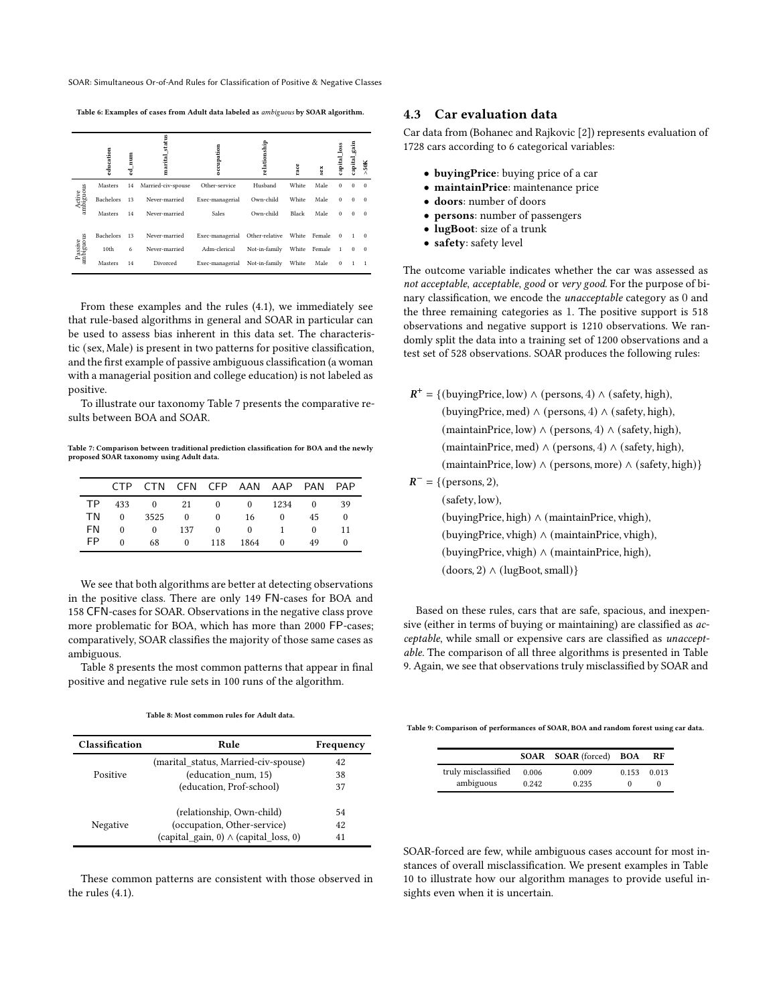<span id="page-6-0"></span>SOAR: Simultaneous Or-of-And Rules for Classification of Positive & Negative Classes

Table 6: Examples of cases from Adult data labeled as ambiguous by SOAR algorithm.

|                      | education | Ē<br>速 | status<br>marital  | occupation      | relationship   | race  | sex    | loss<br>capital. | gain<br>capital_ | 50K      |
|----------------------|-----------|--------|--------------------|-----------------|----------------|-------|--------|------------------|------------------|----------|
|                      | Masters   | 14     | Married-civ-spouse | Other-service   | Husband        | White | Male   | $\Omega$         | $\Omega$         | $\Omega$ |
| Active<br>ambiguous  | Bachelors | 13     | Never-married      | Exec-managerial | Own-child      | White | Male   | $\Omega$         | $\Omega$         | $\Omega$ |
|                      | Masters   | 14     | Never-married      | Sales           | Own-child      | Black | Male   | $\Omega$         | $\Omega$         | $\Omega$ |
|                      | Bachelors | 13     | Never-married      | Exec-managerial | Other-relative | White | Female | $\Omega$         |                  | $\theta$ |
| Passive<br>ambiguous | 10th      | 6      | Never-married      | Adm-clerical    | Not-in-family  | White | Female | $\overline{1}$   | $\Omega$         | $\theta$ |
|                      | Masters   | 14     | Divorced           | Exec-managerial | Not-in-family  | White | Male   | $\Omega$         |                  |          |

From these examples and the rules [\(4.1\)](#page-5-3), we immediately see that rule-based algorithms in general and SOAR in particular can be used to assess bias inherent in this data set. The characteristic (sex, Male) is present in two patterns for positive classification, and the first example of passive ambiguous classification (a woman with a managerial position and college education) is not labeled as positive.

To illustrate our taxonomy Table [7](#page-6-1) presents the comparative results between BOA and SOAR.

<span id="page-6-1"></span>Table 7: Comparison between traditional prediction classification for BOA and the newly proposed SOAR taxonomy using Adult data.

|     |          | CTP CTN CFN CFP AAN AAP PAN PAP |       |                       |              |      |
|-----|----------|---------------------------------|-------|-----------------------|--------------|------|
|     |          | TP 433 0 21 0 0 1234 0          |       |                       |              | - 39 |
|     | TN 0     | 3525 0 0 16 0                   |       |                       | 45.          |      |
| FN  |          | $0 \t 0 \t 137$                 |       | $0 \qquad 0 \qquad 1$ | $\mathbf{0}$ | 11   |
| FP. | $\Omega$ | 68 —                            | 0 118 | 1864 0                | 49           |      |
|     |          |                                 |       |                       |              |      |

We see that both algorithms are better at detecting observations in the positive class. There are only 149 FN-cases for BOA and 158 CFN-cases for SOAR. Observations in the negative class prove more problematic for BOA, which has more than 2000 FP-cases; comparatively, SOAR classifies the majority of those same cases as ambiguous.

<span id="page-6-2"></span>Table [8](#page-6-2) presents the most common patterns that appear in final positive and negative rule sets in 100 runs of the algorithm.

#### Table 8: Most common rules for Adult data.

| <b>Classification</b> | Rule                                         | Frequency |
|-----------------------|----------------------------------------------|-----------|
|                       | (marital status, Married-civ-spouse)         | 42        |
| Positive              | (education num, 15)                          | 38        |
|                       | (education, Prof-school)                     | 37        |
|                       | (relationship, Own-child)                    | 54        |
| Negative              | (occupation, Other-service)                  | 42        |
|                       | (capital gain, 0) $\wedge$ (capital loss, 0) | 41        |

These common patterns are consistent with those observed in the rules [\(4.1\)](#page-5-3).

### 4.3 Car evaluation data

Car data from (Bohanec and Rajkovic [\[2\]](#page-7-25)) represents evaluation of 1728 cars according to 6 categorical variables:

- buyingPrice: buying price of a car
- maintainPrice: maintenance price
- doors: number of doors
- persons: number of passengers
- lugBoot: size of a trunk
- safety: safety level

The outcome variable indicates whether the car was assessed as not acceptable, acceptable, good or very good. For the purpose of binary classification, we encode the unacceptable category as 0 and the three remaining categories as 1. The positive support is 518 observations and negative support is 1210 observations. We randomly split the data into a training set of 1200 observations and a test set of 528 observations. SOAR produces the following rules:

| $R^+$ = {(buyingPrice, low) $\land$ (persons, 4) $\land$ (safety, high), |
|--------------------------------------------------------------------------|
| (buyingPrice, med) $\land$ (persons, 4) $\land$ (safety, high),          |
| (maintainPrice, low) $\land$ (persons, 4) $\land$ (safety, high),        |
| (maintainPrice, med) $\land$ (persons, 4) $\land$ (safety, high),        |
| (maintainPrice, low) $\land$ (persons, more) $\land$ (safety, high)}     |
|                                                                          |

 $R^-$  = {(persons, 2),

(safety, low),

(buyingPrice, high) ∧ (maintainPrice, vhigh), (buyingPrice, vhigh) ∧ (maintainPrice, vhigh), (buyingPrice, vhigh) ∧ (maintainPrice, high), (doors, 2) ∧ (lugBoot,small)}

Based on these rules, cars that are safe, spacious, and inexpensive (either in terms of buying or maintaining) are classified as acceptable, while small or expensive cars are classified as unacceptable. The comparison of all three algorithms is presented in Table [9.](#page-6-3) Again, we see that observations truly misclassified by SOAR and

<span id="page-6-3"></span>Table 9: Comparison of performances of SOAR, BOA and random forest using car data.

|                     |       | <b>SOAR SOAR</b> (forced) <b>BOA</b> |       | RF    |
|---------------------|-------|--------------------------------------|-------|-------|
| truly misclassified | 0.006 | 0.009                                | 0.153 | 0.013 |
| ambiguous           | 0.242 | 0.235                                |       |       |

SOAR-forced are few, while ambiguous cases account for most instances of overall misclassification. We present examples in Table [10](#page-7-26) to illustrate how our algorithm manages to provide useful insights even when it is uncertain.